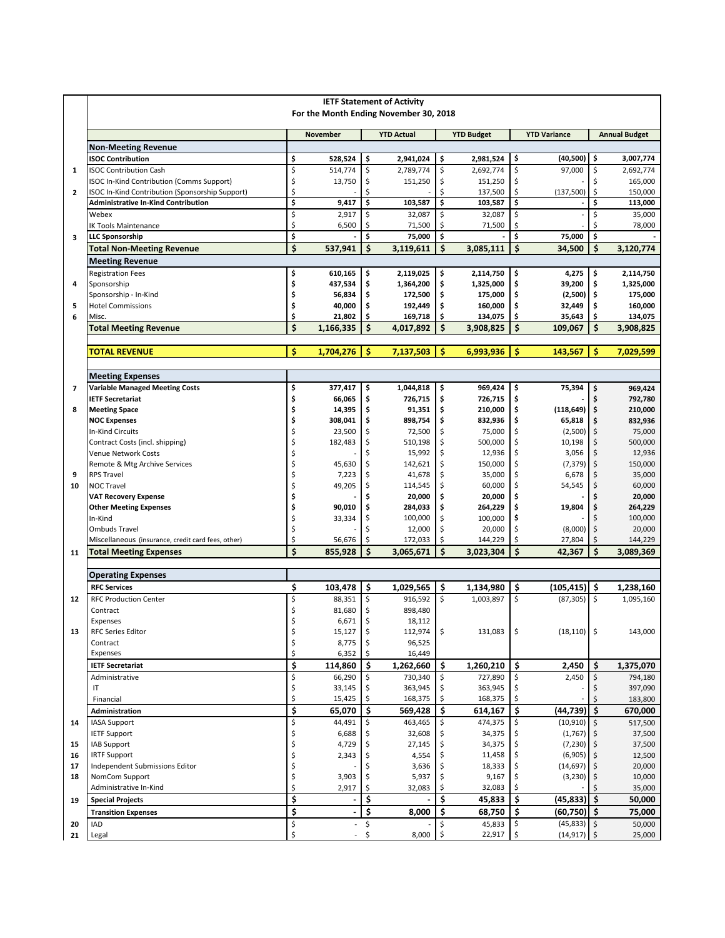|                         | <b>IETF Statement of Activity</b>                  |                                 |                          |          |                   |          |                   |                         |                               |         |                      |  |  |
|-------------------------|----------------------------------------------------|---------------------------------|--------------------------|----------|-------------------|----------|-------------------|-------------------------|-------------------------------|---------|----------------------|--|--|
|                         | For the Month Ending November 30, 2018             |                                 |                          |          |                   |          |                   |                         |                               |         |                      |  |  |
|                         |                                                    |                                 |                          |          |                   |          |                   |                         |                               |         |                      |  |  |
|                         |                                                    |                                 | <b>November</b>          |          | <b>YTD Actual</b> |          | <b>YTD Budget</b> |                         | <b>YTD Variance</b>           |         | <b>Annual Budget</b> |  |  |
|                         | <b>Non-Meeting Revenue</b>                         |                                 |                          |          |                   |          |                   |                         |                               |         |                      |  |  |
|                         | <b>ISOC Contribution</b>                           | \$                              | 528.524                  | \$       | 2,941,024         | \$       | 2,981,524         | \$                      | (40, 500)                     | \$      | 3,007,774            |  |  |
| $\mathbf{1}$            | <b>ISOC Contribution Cash</b>                      | \$                              | 514,774                  | \$       | 2,789,774         | \$       | 2,692,774         | \$                      | 97,000                        | \$      | 2,692,774            |  |  |
|                         | ISOC In-Kind Contribution (Comms Support)          | \$                              | 13,750                   | \$       | 151,250           | \$       | 151,250           | \$                      |                               | \$      | 165,000              |  |  |
| $\overline{2}$          | ISOC In-Kind Contribution (Sponsorship Support)    | \$                              |                          | Ś        |                   | \$       | 137,500           | \$                      | (137,500)                     | \$      | 150,000              |  |  |
|                         | <b>Administrative In-Kind Contribution</b>         | \$                              | 9,417                    | \$       | 103,587           | \$       | 103,587           | \$                      |                               | \$      | 113,000              |  |  |
|                         | Webex                                              | \$                              | 2,917                    | \$       | 32,087            | \$       | 32,087            | \$                      |                               | \$      | 35,000               |  |  |
|                         | <b>IK Tools Maintenance</b>                        | \$                              | 6,500                    | \$       | 71,500            | \$       | 71,500            | \$                      |                               | \$      | 78,000               |  |  |
| $\overline{\mathbf{3}}$ | <b>LLC Sponsorship</b>                             | $\overline{\boldsymbol{\zeta}}$ |                          | \$       | 75,000            | \$       |                   | $\overline{\mathsf{s}}$ | 75,000                        | \$      |                      |  |  |
|                         | <b>Total Non-Meeting Revenue</b>                   | \$                              | 537,941                  | \$       | 3,119,611         | Ś        | 3,085,111         | \$                      | 34,500                        | \$      | 3.120.774            |  |  |
|                         | <b>Meeting Revenue</b>                             |                                 |                          |          |                   |          |                   |                         |                               |         |                      |  |  |
|                         | <b>Registration Fees</b>                           | \$                              | 610,165                  | \$       | 2,119,025         | \$       | 2,114,750         | \$                      | 4,275                         | \$      | 2,114,750            |  |  |
| 4                       | Sponsorship                                        | \$                              | 437,534                  | \$       | 1,364,200         | \$       | 1,325,000         | \$                      | 39,200                        | \$      | 1,325,000            |  |  |
|                         | Sponsorship - In-Kind                              | \$                              | 56,834                   | \$       | 172,500           | \$       | 175,000           | \$                      | $(2,500)$ \$                  |         | 175,000              |  |  |
| 5                       | <b>Hotel Commissions</b>                           | \$                              | 40,000                   | \$       | 192,449           | \$       | 160,000           | \$                      | 32,449                        | \$      | 160,000              |  |  |
| 6                       | Misc.                                              | \$                              | 21,802                   | \$       | 169,718           | \$       | 134,075           | \$                      | 35,643                        | \$      | 134,075              |  |  |
|                         | <b>Total Meeting Revenue</b>                       | \$                              | 1,166,335                | \$       | 4,017,892         | \$       | 3,908,825         | \$                      | 109,067                       | \$      | 3,908,825            |  |  |
|                         |                                                    |                                 |                          |          |                   |          |                   |                         |                               |         |                      |  |  |
|                         | <b>TOTAL REVENUE</b>                               | Ś                               | 1,704,276                | \$       | 7,137,503         | \$       | 6,993,936         | Ŝ                       | 143,567                       | Ś       | 7,029,599            |  |  |
|                         |                                                    |                                 |                          |          |                   |          |                   |                         |                               |         |                      |  |  |
|                         | <b>Meeting Expenses</b>                            |                                 |                          |          |                   |          |                   |                         |                               |         |                      |  |  |
| $\overline{7}$          | <b>Variable Managed Meeting Costs</b>              | \$                              | 377,417                  | \$       | 1,044,818         | \$       | 969,424           | ۱\$                     | 75,394                        | \$      | 969,424              |  |  |
|                         | <b>IETF Secretariat</b>                            | \$                              | 66,065                   | \$       | 726,715           | \$       | 726,715           | \$                      |                               | \$      | 792,780              |  |  |
| 8                       | <b>Meeting Space</b>                               | \$                              | 14,395                   | \$       | 91,351            | \$       | 210,000           | \$                      | $(118, 649)$ \$               |         | 210,000              |  |  |
|                         | <b>NOC Expenses</b>                                | \$                              | 308,041                  | \$       | 898,754           | \$       | 832,936           | \$                      | 65,818                        | \$      | 832,936              |  |  |
|                         | In-Kind Circuits                                   | \$                              | 23,500                   | \$       | 72,500            | \$       | 75,000            | \$                      | $(2,500)$ $\frac{1}{5}$       |         | 75,000               |  |  |
|                         | Contract Costs (incl. shipping)                    | \$                              | 182,483                  | \$       | 510,198           | \$       | 500,000           | \$                      | 10,198                        | \$      | 500,000              |  |  |
|                         | Venue Network Costs                                |                                 |                          | Ś        | 15,992            | \$       | 12,936            | \$                      | 3,056                         | \$      | 12,936               |  |  |
|                         | Remote & Mtg Archive Services                      |                                 | 45,630                   | \$       | 142,621           | \$       | 150,000           | \$                      | $(7,379)$ \$                  |         | 150,000              |  |  |
| 9                       | <b>RPS Travel</b>                                  | Ś                               | 7,223                    | \$       | 41,678            | \$       | 35,000            | Ś                       | 6,678                         | \$      | 35,000               |  |  |
| 10                      | <b>NOC Travel</b>                                  | Ś                               | 49,205                   | \$       | 114,545           | \$       | 60,000            | \$                      | 54,545                        | \$      | 60,000               |  |  |
|                         | <b>VAT Recovery Expense</b>                        | \$                              |                          | Ś        | 20,000            | \$       | 20,000            | \$                      |                               |         | 20,000               |  |  |
|                         | <b>Other Meeting Expenses</b>                      | \$                              | 90,010                   | \$       | 284,033           | \$       | 264,229           | \$                      | 19,804                        | \$      | 264,229              |  |  |
|                         | In-Kind<br><b>Ombuds Travel</b>                    | \$                              | 33,334                   | \$<br>\$ | 100,000<br>12,000 | \$       | 100,000           | \$<br>\$                |                               | \$      | 100,000<br>20,000    |  |  |
|                         |                                                    | \$<br>\$                        | 56,676                   | \$       | 172,033           | \$<br>\$ | 20,000<br>144,229 | \$                      | (8,000)                       | \$      |                      |  |  |
|                         | Miscellaneous (insurance, credit card fees, other) | Ś                               |                          | Ś        |                   | \$       |                   |                         | 27,804                        | Ś       | 144,229              |  |  |
| 11                      | <b>Total Meeting Expenses</b>                      |                                 | 855,928                  |          | 3,065,671         |          | 3,023,304         | \$                      | 42,367                        |         | 3,089,369            |  |  |
|                         |                                                    |                                 |                          |          |                   |          |                   |                         |                               |         |                      |  |  |
|                         | <b>Operating Expenses</b>                          |                                 |                          |          |                   |          |                   |                         |                               |         |                      |  |  |
|                         | <b>RFC Services</b>                                | \$                              | 103,478                  | \$       | 1,029,565         | \$       | 1,134,980         | \$                      | $(105, 415)$ \$               |         | 1,238,160            |  |  |
| 12                      | <b>RFC Production Center</b>                       | \$                              | 88,351                   | \$       | 916.592           | \$       | 1,003,897         | \$                      | (87, 305)                     | $\zeta$ | 1,095,160            |  |  |
|                         | Contract                                           | \$                              | 81,680                   | \$       | 898,480           |          |                   |                         |                               |         |                      |  |  |
|                         | Expenses                                           |                                 | 6,671                    | \$       | 18,112            |          |                   | \$                      |                               |         | 143,000              |  |  |
| 13                      | <b>RFC Series Editor</b><br>Contract               | \$<br>\$                        | 15,127<br>8,775          | \$       | 112,974<br>96,525 | \$       | 131,083           |                         | $(18, 110)$ \$                |         |                      |  |  |
|                         | Expenses                                           | \$                              | 6,352                    | \$       | 16,449            |          |                   |                         |                               |         |                      |  |  |
|                         | <b>IETF Secretariat</b>                            | \$                              | 114,860                  | \$       | 1,262,660         | \$       | $1,260,210$   \$  |                         | 2,450                         | \$      | 1,375,070            |  |  |
|                         | Administrative                                     | \$                              | 66,290                   | \$       | 730,340           | \$       | 727,890           |                         | 2,450                         | \$      | 794,180              |  |  |
|                         | IT                                                 | \$                              | 33,145                   | \$       | 363,945           | \$       | 363,945           |                         |                               | \$      | 397,090              |  |  |
|                         | Financial                                          | \$                              | 15,425                   | \$       | 168,375           | \$       | 168,375           | \$                      |                               | \$      | 183,800              |  |  |
|                         | Administration                                     | \$                              | 65,070                   | \$       | 569,428           | \$       | 614,167           | Ŝ.                      | (44, 739)                     | ۱\$     | 670,000              |  |  |
|                         | <b>IASA Support</b>                                | \$                              |                          | \$       |                   |          |                   |                         |                               |         |                      |  |  |
| 14                      | <b>IETF Support</b>                                | \$                              | 44,491<br>6,688          |          | 463,465<br>32,608 | \$       | 474,375<br>34,375 | \$.                     | $(10,910)$ \$<br>$(1,767)$ \$ |         | 517,500<br>37,500    |  |  |
| 15                      | <b>IAB Support</b>                                 | \$                              | 4,729                    | \$       | 27,145            | \$       | 34,375            |                         | $(7,230)$ \$                  |         | 37,500               |  |  |
| 16                      | <b>IRTF Support</b>                                | \$                              | 2,343                    | \$       | 4,554             | \$       | 11,458            |                         | $(6,905)$ \$                  |         | 12,500               |  |  |
| 17                      | Independent Submissions Editor                     | \$                              |                          |          | 3,636             |          | 18,333            |                         | $(14,697)$ \$                 |         | 20,000               |  |  |
| 18                      | NomCom Support                                     | \$                              | 3,903                    | \$       | 5,937             |          | 9,167             |                         | $(3,230)$ \$                  |         | 10,000               |  |  |
|                         | Administrative In-Kind                             | \$                              | 2,917                    | \$       | 32,083            |          | 32,083            |                         |                               |         | 35,000               |  |  |
| 19                      | <b>Special Projects</b>                            | \$                              | ۰                        | \$       |                   | \$       | 45,833            | \$.                     | $(45,833)$ \$                 |         | 50,000               |  |  |
|                         | <b>Transition Expenses</b>                         | \$                              |                          | \$       | 8,000             | \$       | 68,750            | \$.                     | $(60,750)$ \$                 |         | 75,000               |  |  |
| 20                      | <b>IAD</b>                                         | \$                              | $\overline{\phantom{a}}$ | \$       |                   | \$       | 45,833            | \$                      | $(45,833)$ \$                 |         | 50,000               |  |  |
| 21                      | Legal                                              | \$                              | ÷,                       | \$       | 8,000             | \$       | 22,917            | \$                      | $(14, 917)$ \$                |         | 25,000               |  |  |
|                         |                                                    |                                 |                          |          |                   |          |                   |                         |                               |         |                      |  |  |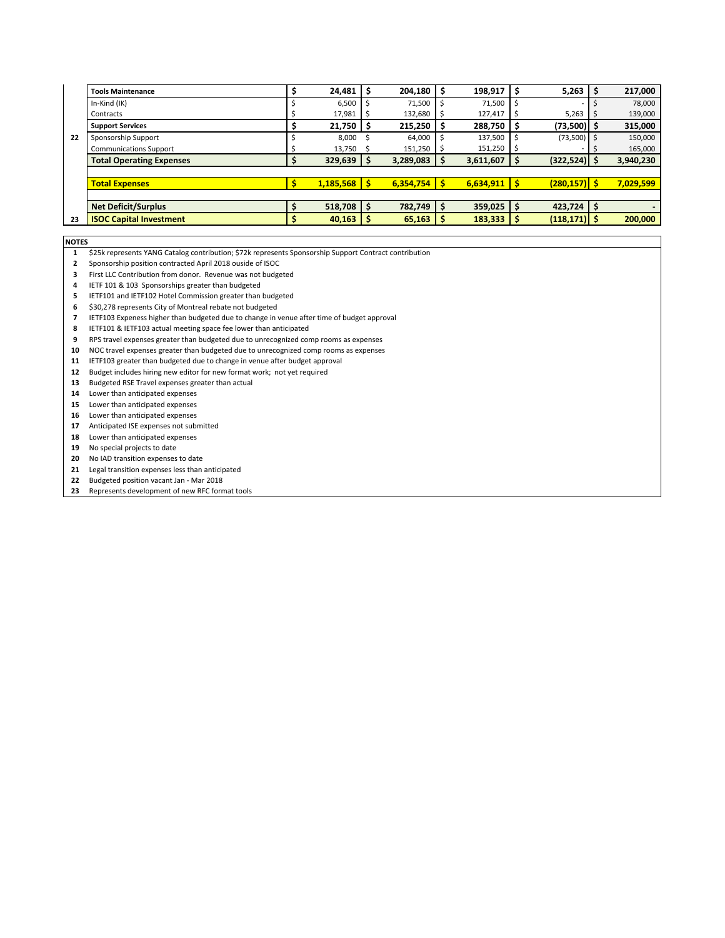|    | <b>Tools Maintenance</b>        | 24,481    | 204,180   | -S | 198,917        | l \$ | 5,263           | 217,000   |
|----|---------------------------------|-----------|-----------|----|----------------|------|-----------------|-----------|
|    | In-Kind (IK)                    | 6,500     | 71,500    |    | 71,500         |      |                 | 78,000    |
|    | Contracts                       | 17,981    | 132,680   | 5  | 127,417        |      | 5,263           | 139,000   |
|    | <b>Support Services</b>         | 21,750    | 215,250   | S  | $288,750$   \$ |      | $(73,500)$   \$ | 315,000   |
| 22 | Sponsorship Support             | 8.000     | 64,000    |    | 137,500        |      | $(73,500)$ \$   | 150,000   |
|    | <b>Communications Support</b>   | 13,750    | 151,250   |    | $151,250$   \$ |      |                 | 165,000   |
|    | <b>Total Operating Expenses</b> | 329,639   | 3,289,083 |    | 3,611,607      | ΙS   | $(322,524)$ \$  | 3,940,230 |
|    |                                 |           |           |    |                |      |                 |           |
|    | <b>Total Expenses</b>           | 1,185,568 | 6,354,754 | -S | $6,634,911$ \$ |      | $(280, 157)$ \$ | 7,029,599 |
|    |                                 |           |           |    |                |      |                 |           |
|    | <b>Net Deficit/Surplus</b>      | 518,708   | 782,749   | -S | $359,025$   \$ |      | $423,724$   \$  |           |
| 23 | <b>ISOC Capital Investment</b>  | 40,163    | 65,163    |    | $183,333$   \$ |      | $(118, 171)$ \$ | 200,000   |

**NOTES** 

- 1 \$25k represents YANG Catalog contribution; \$72k represents Sponsorship Support Contract contribution
- 2 Sponsorship position contracted April 2018 ouside of ISOC
- 3 First LLC Contribution from donor. Revenue was not budgeted
- 4 IETF 101 & 103 Sponsorships greater than budgeted
- 5 IETF101 and IETF102 Hotel Commission greater than budgeted
- 6 \$30,278 represents City of Montreal rebate not budgeted
- 7 IETF103 Expeness higher than budgeted due to change in venue after time of budget approval
- 8 IETF101 & IETF103 actual meeting space fee lower than anticipated
- 9 RPS travel expenses greater than budgeted due to unrecognized comp rooms as expenses
- 10 NOC travel expenses greater than budgeted due to unrecognized comp rooms as expenses
- 11 IETF103 greater than budgeted due to change in venue after budget approval
- 12 Budget includes hiring new editor for new format work; not yet required
- 13 Budgeted RSE Travel expenses greater than actual
- 14 Lower than anticipated expenses
- 15 Lower than anticipated expenses
- 16 Lower than anticipated expenses
- 17 Anticipated ISE expenses not submitted
- 18 Lower than anticipated expenses
- 19 No special projects to date
- 20 No IAD transition expenses to date
- 21 Legal transition expenses less than anticipated
- 22 Budgeted position vacant Jan Mar 2018
- 23 Represents development of new RFC format tools